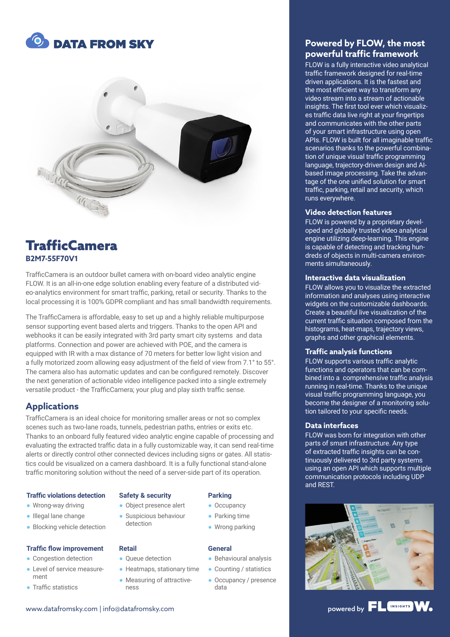



# **TrafficCamera B2M7-55F70V1**

TrafficCamera is an outdoor bullet camera with on-board video analytic engine FLOW. It is an all-in-one edge solution enabling every feature of a distributed video-analytics environment for smart traffic, parking, retail or security. Thanks to the local processing it is 100% GDPR compliant and has small bandwidth requirements.

The TrafficCamera is affordable, easy to set up and a highly reliable multipurpose sensor supporting event based alerts and triggers. Thanks to the open API and webhooks it can be easily integrated with 3rd party smart city systems and data platforms. Connection and power are achieved with POE, and the camera is equipped with IR with a max distance of 70 meters for better low light vision and a fully motorized zoom allowing easy adjustment of the field of view from 7.1° to 55°. The camera also has automatic updates and can be configured remotely. Discover the next generation of actionable video intelligence packed into a single extremely versatile product - the TrafficCamera; your plug and play sixth traffic sense.

# **Applications**

TrafficCamera is an ideal choice for monitoring smaller areas or not so complex scenes such as two-lane roads, tunnels, pedestrian paths, entries or exits etc. Thanks to an onboard fully featured video analytic engine capable of processing and evaluating the extracted traffic data in a fully customizable way, it can send real-time alerts or directly control other connected devices including signs or gates. All statistics could be visualized on a camera dashboard. It is a fully functional stand-alone traffic monitoring solution without the need of a server-side part of its operation.

#### **Traffic violations detection**

- Wrong-way driving
- Illegal lane change
- Blocking vehicle detection

#### **Traffic flow improvement**

- Congestion detection
- Level of service measurement
- Traffic statistics

#### **Safety & security**

● Object presence alert ● Suspicious behaviour detection

#### **Retail**

- Oueue detection
- Heatmaps, stationary time
	- Measuring of attractiveness

# **Parking**

- Occupancy
- Parking time
- Wrong parking

#### **General**

- Behavioural analysis
- Counting / statistics
- Occupancy / presence data

# **Powered by FLOW, the most powerful traffic framework**

FLOW is a fully interactive video analytical traffic framework designed for real-time driven applications. It is the fastest and the most efficient way to transform any video stream into a stream of actionable insights. The first tool ever which visualizes traffic data live right at your fingertips and communicates with the other parts of your smart infrastructure using open APIs. FLOW is built for all imaginable traffic scenarios thanks to the powerful combination of unique visual traffic programming language, trajectory-driven design and AIbased image processing. Take the advantage of the one unified solution for smart traffic, parking, retail and security, which runs everywhere.

#### **Video detection features**

FLOW is powered by a proprietary developed and globally trusted video analytical engine utilizing deep-learning. This engine is capable of detecting and tracking hundreds of objects in multi-camera environments simultaneously.

#### **Interactive data visualization**

FLOW allows you to visualize the extracted information and analyses using interactive widgets on the customizable dashboards. Create a beautiful live visualization of the current traffic situation composed from the histograms, heat-maps, trajectory views, graphs and other graphical elements.

#### **Traffic analysis functions**

FLOW supports various traffic analytic functions and operators that can be combined into a comprehensive traffic analysis running in real-time. Thanks to the unique visual traffic programming language, you become the designer of a monitoring solution tailored to your specific needs.

#### **Data interfaces**

FLOW was born for integration with other parts of smart infrastructure. Any type of extracted traffic insights can be continuously delivered to 3rd party systems using an open API which supports multiple communication protocols including UDP and REST.



# www.datafromsky.com | info@datafromsky.com powered by